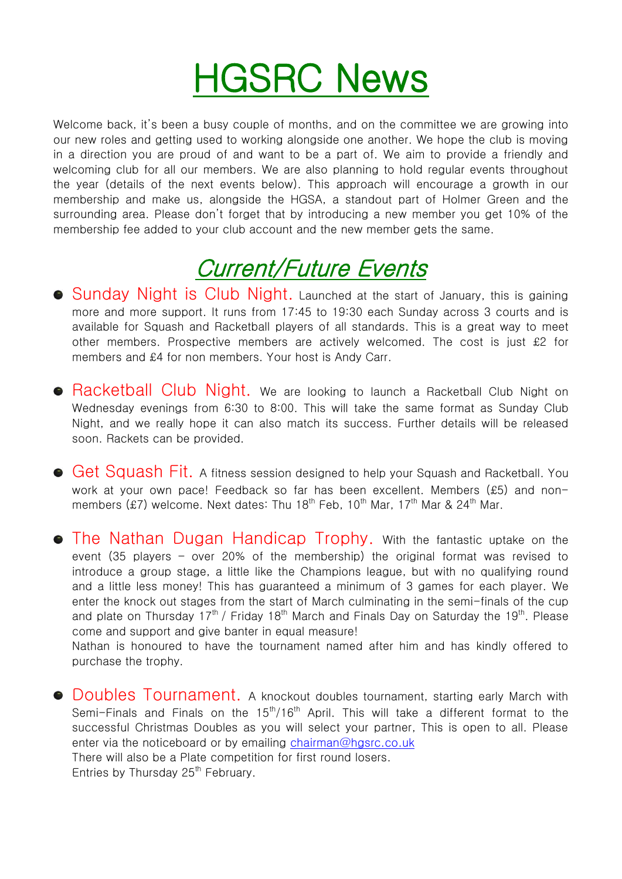# HGSRC News

Welcome back, it's been a busy couple of months, and on the committee we are growing into our new roles and getting used to working alongside one another. We hope the club is moving in a direction you are proud of and want to be a part of. We aim to provide a friendly and welcoming club for all our members. We are also planning to hold regular events throughout the year (details of the next events below). This approach will encourage a growth in our membership and make us, alongside the HGSA, a standout part of Holmer Green and the surrounding area. Please don't forget that by introducing a new member you get 10% of the membership fee added to your club account and the new member gets the same.

# Current/Future Events

- **Sunday Night is Club Night.** Launched at the start of January, this is gaining more and more support. It runs from 17:45 to 19:30 each Sunday across 3 courts and is available for Squash and Racketball players of all standards. This is a great way to meet other members. Prospective members are actively welcomed. The cost is just £2 for members and £4 for non members. Your host is Andy Carr.
- **Racketball Club Night.** We are looking to launch a Racketball Club Night on Wednesday evenings from 6:30 to 8:00. This will take the same format as Sunday Club Night, and we really hope it can also match its success. Further details will be released soon. Rackets can be provided.
- **Get Squash Fit.** A fitness session designed to help your Squash and Racketball. You work at your own pace! Feedback so far has been excellent. Members (£5) and nonmembers (£7) welcome. Next dates: Thu 18<sup>th</sup> Feb, 10<sup>th</sup> Mar, 17<sup>th</sup> Mar & 24<sup>th</sup> Mar.
- **The Nathan Dugan Handicap Trophy.** With the fantastic uptake on the event (35 players – over 20% of the membership) the original format was revised to introduce a group stage, a little like the Champions league, but with no qualifying round and a little less money! This has guaranteed a minimum of 3 games for each player. We enter the knock out stages from the start of March culminating in the semi-finals of the cup and plate on Thursday 17<sup>th</sup> / Friday 18<sup>th</sup> March and Finals Day on Saturday the 19<sup>th</sup>. Please come and support and give banter in equal measure!

Nathan is honoured to have the tournament named after him and has kindly offered to purchase the trophy.

• Doubles Tournament, A knockout doubles tournament, starting early March with Semi-Finals and Finals on the  $15<sup>th</sup>/16<sup>th</sup>$  April. This will take a different format to the successful Christmas Doubles as you will select your partner, This is open to all. Please enter via the noticeboard or by emailing [chairman@hgsrc.co.uk](mailto:chairman@hgsrc.co.uk) There will also be a Plate competition for first round losers.

Entries by Thursday 25<sup>th</sup> February.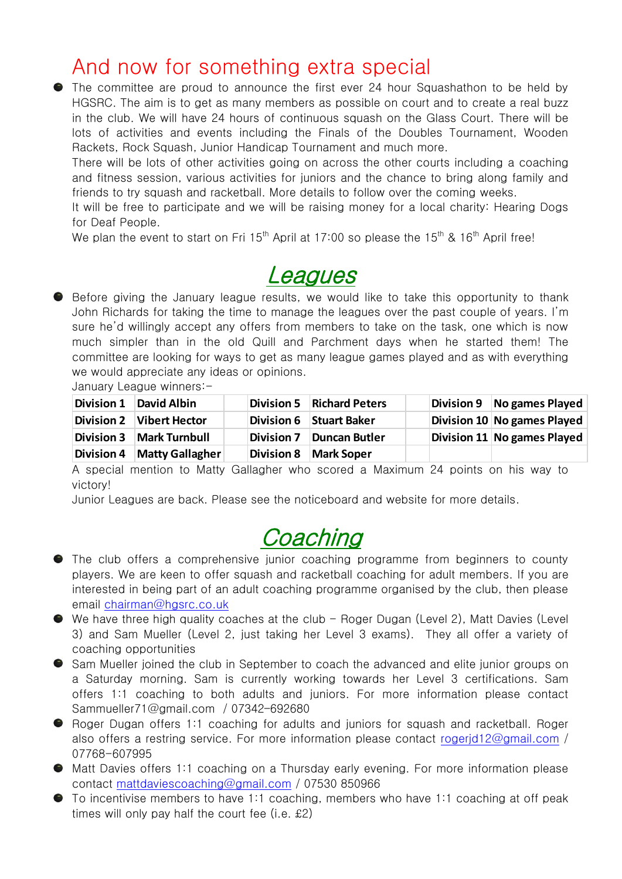#### And now for something extra special

The committee are proud to announce the first ever 24 hour Squashathon to be held by HGSRC. The aim is to get as many members as possible on court and to create a real buzz in the club. We will have 24 hours of continuous squash on the Glass Court. There will be lots of activities and events including the Finals of the Doubles Tournament, Wooden Rackets, Rock Squash, Junior Handicap Tournament and much more.

There will be lots of other activities going on across the other courts including a coaching and fitness session, various activities for juniors and the chance to bring along family and friends to try squash and racketball. More details to follow over the coming weeks.

It will be free to participate and we will be raising money for a local charity: Hearing Dogs for Deaf People.

We plan the event to start on Fri  $15<sup>th</sup>$  April at 17:00 so please the  $15<sup>th</sup>$  &  $16<sup>th</sup>$  April free!

### **Leagues**

**Before giving the January league results, we would like to take this opportunity to thank** John Richards for taking the time to manage the leagues over the past couple of years. I'm sure he'd willingly accept any offers from members to take on the task, one which is now much simpler than in the old Quill and Parchment days when he started them! The committee are looking for ways to get as many league games played and as with everything we would appreciate any ideas or opinions.

January League winners:-

| <b>Division 1</b> | <b>David Albin</b>   |                   | Division 5 Richard Peters | Division 9 No games Played  |
|-------------------|----------------------|-------------------|---------------------------|-----------------------------|
| <b>Division 2</b> | <b>Vibert Hector</b> |                   | Division 6 Stuart Baker   | Division 10 No games Played |
| <b>Division 3</b> | <b>Mark Turnbull</b> |                   | Division 7 Duncan Butler  | Division 11 No games Played |
| <b>Division 4</b> | Matty Gallagher      | <b>Division 8</b> | <b>Mark Soper</b>         |                             |

A special mention to Matty Gallagher who scored a Maximum 24 points on his way to victory!

Junior Leagues are back. Please see the noticeboard and website for more details.

### **Coaching**

- The club offers a comprehensive junior coaching programme from beginners to county players. We are keen to offer squash and racketball coaching for adult members. If you are interested in being part of an adult coaching programme organised by the club, then please email [chairman@hgsrc.co.uk](mailto:chairman@hgsrc.co.uk)
- We have three high quality coaches at the club Roger Dugan (Level 2), Matt Davies (Level 3) and Sam Mueller (Level 2, just taking her Level 3 exams). They all offer a variety of coaching opportunities
- Sam Mueller joined the club in September to coach the advanced and elite junior groups on a Saturday morning. Sam is currently working towards her Level 3 certifications. Sam offers 1:1 coaching to both adults and juniors. For more information please contact [Sammueller71@gmail.com](mailto:Sammueller71@gmail.com) / 07342–692680
- **•** Roger Dugan offers 1:1 coaching for adults and juniors for squash and racketball. Roger also offers a restring service. For more information please contact [rogerjd12@gmail.com](mailto:rogerjd12@gmail.com) / 07768-607995
- Matt Davies offers 1:1 coaching on a Thursday early evening. For more information please contact [mattdaviescoaching@gmail.com](mailto:mattdaviescoaching@gmail.com) / 07530 850966
- To incentivise members to have 1:1 coaching, members who have 1:1 coaching at off peak times will only pay half the court fee (i.e.  $£2)$ )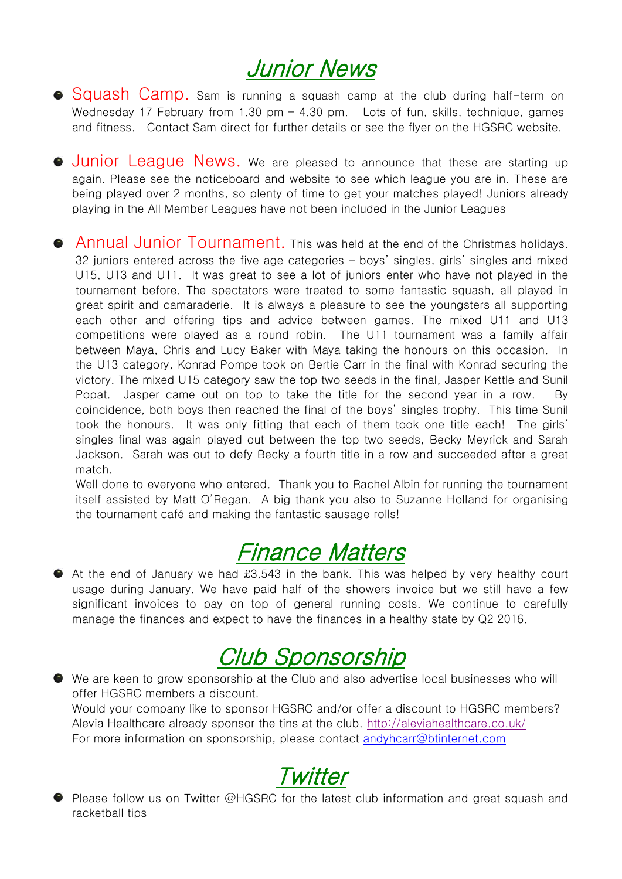# Junior News

- **Squash Camp.** Sam is running a squash camp at the club during half-term on Wednesday 17 February from 1.30 pm  $-$  4.30 pm. Lots of fun, skills, technique, games and fitness. Contact Sam direct for further details or see the flyer on the HGSRC website.
- **Junior League News.** We are pleased to announce that these are starting up again. Please see the noticeboard and website to see which league you are in. These are being played over 2 months, so plenty of time to get your matches played! Juniors already playing in the All Member Leagues have not been included in the Junior Leagues
- **Annual Junior Tournament.** This was held at the end of the Christmas holidays. 32 juniors entered across the five age categories – boys' singles, girls' singles and mixed U15, U13 and U11. It was great to see a lot of juniors enter who have not played in the tournament before. The spectators were treated to some fantastic squash, all played in great spirit and camaraderie. It is always a pleasure to see the youngsters all supporting each other and offering tips and advice between games. The mixed U11 and U13 competitions were played as a round robin. The U11 tournament was a family affair between Maya, Chris and Lucy Baker with Maya taking the honours on this occasion. In the U13 category, Konrad Pompe took on Bertie Carr in the final with Konrad securing the victory. The mixed U15 category saw the top two seeds in the final, Jasper Kettle and Sunil Popat. Jasper came out on top to take the title for the second year in a row. By coincidence, both boys then reached the final of the boys' singles trophy. This time Sunil took the honours. It was only fitting that each of them took one title each! The girls' singles final was again played out between the top two seeds, Becky Meyrick and Sarah Jackson. Sarah was out to defy Becky a fourth title in a row and succeeded after a great match.

Well done to everyone who entered. Thank you to Rachel Albin for running the tournament itself assisted by Matt O'Regan. A big thank you also to Suzanne Holland for organising the tournament café and making the fantastic sausage rolls!

# Finance Matters

At the end of January we had £3,543 in the bank. This was helped by very healthy court usage during January. We have paid half of the showers invoice but we still have a few significant invoices to pay on top of general running costs. We continue to carefully manage the finances and expect to have the finances in a healthy state by Q2 2016.

# Club Sponsorship

We are keen to grow sponsorship at the Club and also advertise local businesses who will offer HGSRC members a discount. Would your company like to sponsor HGSRC and/or offer a discount to HGSRC members? Alevia Healthcare already sponsor the tins at the club.<http://aleviahealthcare.co.uk/> For more information on sponsorship, please contact [andyhcarr@btinternet.com](mailto:andyhcarr@btinternet.com)

## **Twitter**

Please follow us on Twitter @HGSRC for the latest club information and great squash and racketball tips